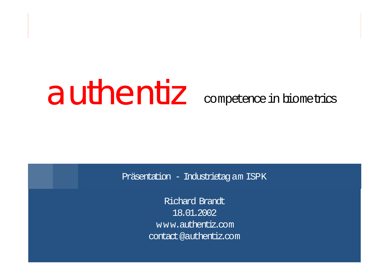# authentiz competence in biometrics

Präsentation - Industrietag am ISPK

Richard Brandt18.01.2002<sup>w</sup> <sup>w</sup> w.authentiz.com contact@authentiz.com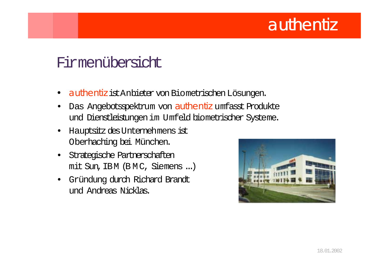#### Firmenübersicht

- authentiz istAnbieter von Biometrischen Lösungen.
- • Das Angebotsspektrum von authentiz umfasst Produkte und Dienstleistungen im Umfeld biometrischer Systeme.
- $\bullet$ Hauptsitz des Unternehmens ist Oberhaching bei München.
- Strategische Partnerschaften mit Sun, IBM (B M C, Siemens ...)
- Gründung durch Richard Brandt und Andreas Nicklas.

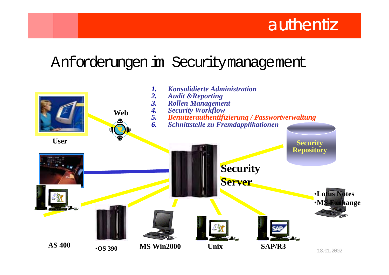#### Anforderungen im Securitymanagement



18.01.2002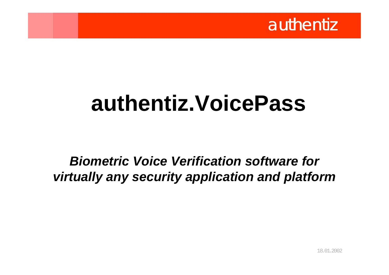

## **authentiz.VoicePass**

*Biometric Voice Verification software for virtually any security application and platform*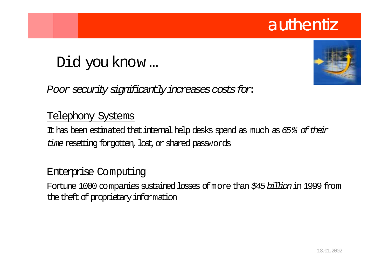#### Did you know …

Poor security significantly increases costs for:

#### Telephony Systems

It has been estimated that internal help desks spend as much as 65% of their ti*m*e r<del>ese</del>tting forgotten, lost, or shared passwords

#### Enterprise Computing

Fortune 1000 companies sustained losses of more than \$45 billion in 1999 from thetheft of proprietaryinformation

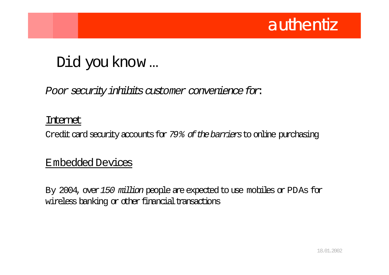#### Did you know …

#### Poor security inhibits customer convenience for:

#### Internet

Credit card security accounts for 79% of the barriers to online purchasing

#### Embedded Devices

By 2004, over 150 million people are expected to use mobiles or PDAs for wireless banking or other financial transactions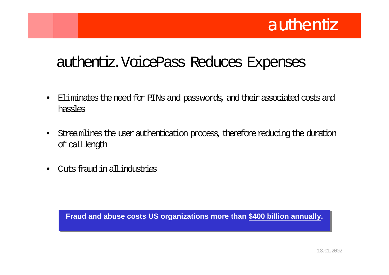

#### authentiz.VoicePass Reduces Expenses

- •Eliminates the need for PINs and passwords, and their associated costs and hassles
- •Streamlines the user authentication process, therefore reducing the duration of calllength
- •Cutsfraud in allindustries

**Fraud and abuse costs US organizations more than \$400 billion annually Fraud and abuse costs US organizations more than \$400 billion annually..**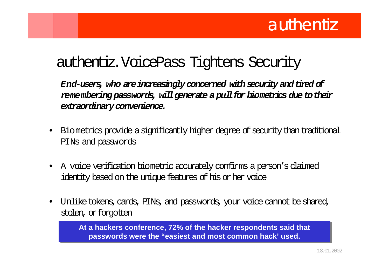#### authentiz.VoicePass Tightens Security

**End-users, who areincreasingly concerned with security and tired of remembering passwords, will generate a pullfor biometrics due totheir extraordinaryconvenience.**

- Biometrics provide a significantly higher degree of securitythan traditional PINs and passwords
- A voice verification biometric accurately confirms a person's claimed identity based on the unique features of his or her voice
- $\bullet$ Unlike tokens, cards, PINs, and passwords, your voice cannot be shared, stolen, or forgotten

**At a hackers conference, 72% of the hacker respondents said that At a hackers conference, 72% of the hacker respondents said that passwords were the "easiest and most common hack' used. passwords were the "easiest and most common hack' used.**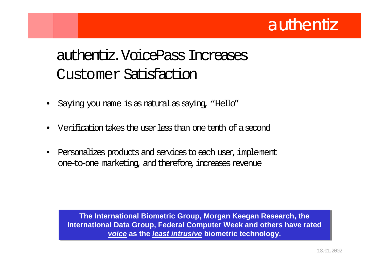#### authentiz.VoicePassIncreasesCustomer Satisfaction

- •Saying you name is as natural assaying, "Hello"
- •Verification takesthe userlessthan one tenth of asecond
- •Personalizes products and services to each user, implement one-to-one marketing, and therefore, increases revenue

**The International Biometric Group, Morgan Keegan Research, the The International Biometric Group, Morgan Keegan Research, the International Data Group, Federal Computer Week and others have rated International Data Group, Federal Computer Week and others have rated**  *voice* **as the** *least intrusive* **biometric technology.** *voice* **as the** *least intrusive* **biometric technology.**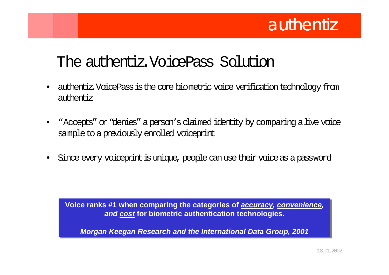#### The authentiz.VoicePass Solution

- • authentiz.VoicePassisthe core biometric voice verification technology from authentiz
- • "Accepts" or "denies" a person's claimed identity by comparing alive voice sampleto a previously enrolled voiceprint
- •Since every voiceprint is unique, people can use their voice as a password

**Voice ranks #1 when comparing the categories of** *accuracy, convenience,*  **Voice ranks #1 when comparing the categories of** *accuracy, convenience, and cost* **for biometric authentication technologies.** *and cost* **for biometric authentication technologies.**

*Morgan Keegan Research and the International Data Group, 2001 Morgan Keegan Research and the International Data Group, 2001*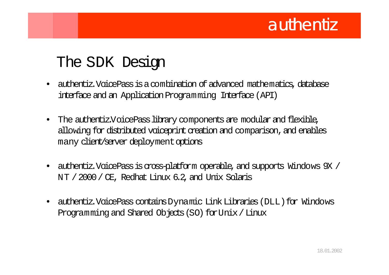#### The SDK Design

- $\bullet$  authentiz.VoicePassis a combination of advanced mathematics, database interface and an Application Programming Interface(API)
- •The authentiz.VoicePass library components are modular and flexible, allowing for distributed voiceprint creation and comparison, and enables many client/server deployment options
- $\bullet$  authentiz.VoicePassis cross-platform operable, and supports Windows 9X / NT / 2000 / CE, Redhat Linux 6.2, and Unix Solaris
- $\bullet$  authentiz.VoicePasscontainsDynamic Link Libraries(DLL)for Windows Programming and Shared Objects (SO) for Unix / Linux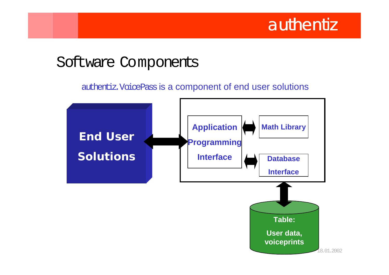#### Software Components

#### authentiz.VoicePassis a component of end user solutions

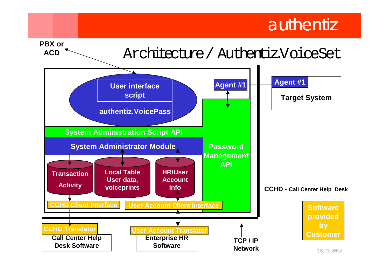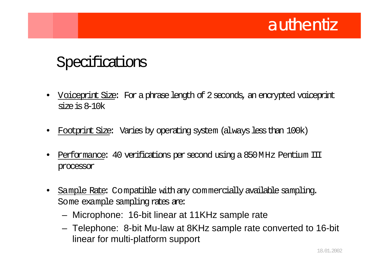#### Specifications

- • Voiceprint Size: For a phraselength of 2 seconds, an encrypted voiceprint  $size$  is  $8-10k$
- •Footprint Size: Varies by operating system (alwayslessthan 100k)
- • Performance: 40 verifications per second using a 850MHz Pentium III processor
- • Sample Rate: Compatible with any commercially available sampling. Some example sampling rates are:
	- Microphone: 16-bit linear at 11KHz sample rate
	- Telephone: 8-bit Mu-law at 8KHz sample rate converted to 16-bit linear for multi-platform support